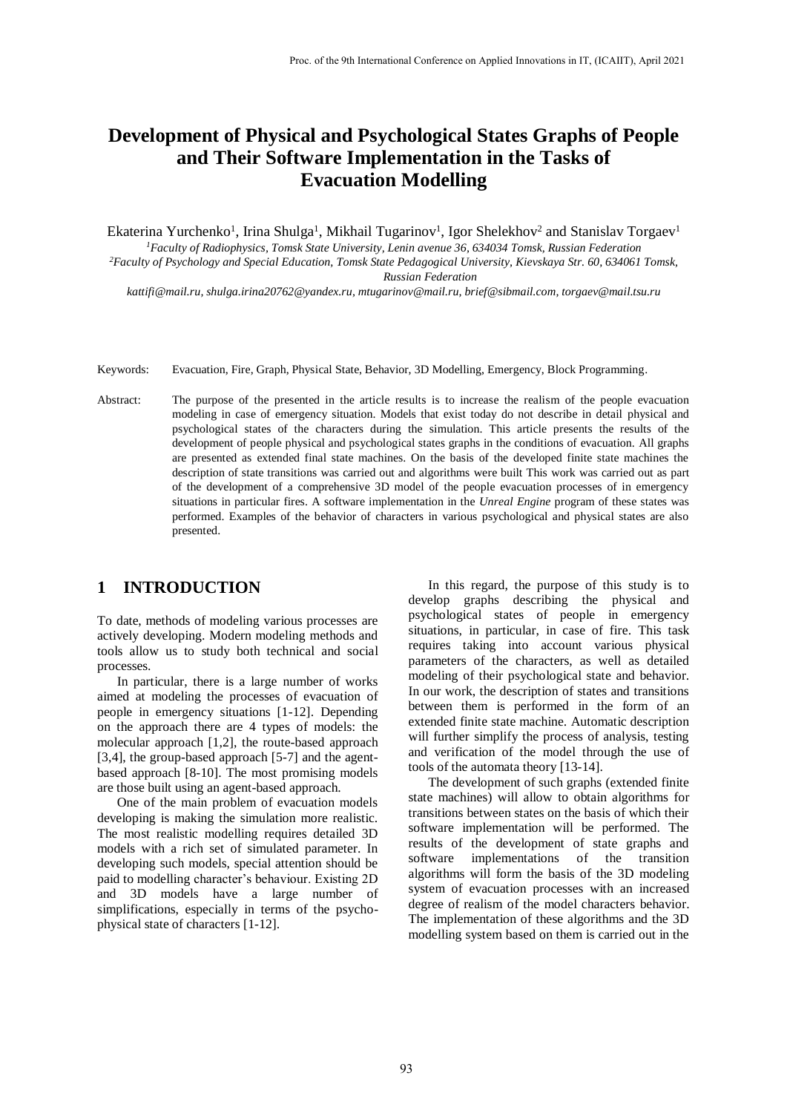# **Development of Physical and Psychological States Graphs of People and Their Software Implementation in the Tasks of Evacuation Modelling**

Ekaterina Yurchenko<sup>1</sup>, Irina Shulga<sup>1</sup>, Mikhail Tugarinov<sup>1</sup>, Igor Shelekhov<sup>2</sup> and Stanislav Torgaev<sup>1</sup> *<sup>1</sup>Faculty of Radiophysics, Tomsk State University, Lenin avenue 36, 634034 Tomsk, Russian Federation <sup>2</sup>Faculty of Psychology and Special Education, Tomsk State Pedagogical University, Kievskaya Str. 60, 634061 Tomsk, Russian Federation*

*kattifi@mail.ru, shulga.irina20762@yandex.ru, mtugarinov@mail.ru, brief@sibmail.com, torgaev@mail.tsu.ru*

- Keywords: Evacuation, Fire, Graph, Physical State, Behavior, 3D Modelling, Emergency, Block Programming.
- Abstract: The purpose of the presented in the article results is to increase the realism of the people evacuation modeling in case of emergency situation. Models that exist today do not describe in detail physical and psychological states of the characters during the simulation. This article presents the results of the development of people physical and psychological states graphs in the conditions of evacuation. All graphs are presented as extended final state machines. On the basis of the developed finite state machines the description of state transitions was carried out and algorithms were built This work was carried out as part of the development of a comprehensive 3D model of the people evacuation processes of in emergency situations in particular fires. A software implementation in the *Unreal Engine* program of these states was performed. Examples of the behavior of characters in various psychological and physical states are also presented.

### **1 INTRODUCTION**

To date, methods of modeling various processes are actively developing. Modern modeling methods and tools allow us to study both technical and social processes.

In particular, there is a large number of works aimed at modeling the processes of evacuation of people in emergency situations [1-12]. Depending on the approach there are 4 types of models: the molecular approach [1,2], the route-based approach [3,4], the group-based approach [5-7] and the agentbased approach [8-10]. The most promising models are those built using an agent-based approach.

One of the main problem of evacuation models developing is making the simulation more realistic. The most realistic modelling requires detailed 3D models with a rich set of simulated parameter. In developing such models, special attention should be paid to modelling character's behaviour. Existing 2D and 3D models have a large number of simplifications, especially in terms of the psychophysical state of characters [1-12].

In this regard, the purpose of this study is to develop graphs describing the physical and psychological states of people in emergency situations, in particular, in case of fire. This task requires taking into account various physical parameters of the characters, as well as detailed modeling of their psychological state and behavior. In our work, the description of states and transitions between them is performed in the form of an extended finite state machine. Automatic description will further simplify the process of analysis, testing and verification of the model through the use of tools of the automata theory [13-14].

The development of such graphs (extended finite state machines) will allow to obtain algorithms for transitions between states on the basis of which their software implementation will be performed. The results of the development of state graphs and software implementations of the transition algorithms will form the basis of the 3D modeling system of evacuation processes with an increased degree of realism of the model characters behavior. The implementation of these algorithms and the 3D modelling system based on them is carried out in the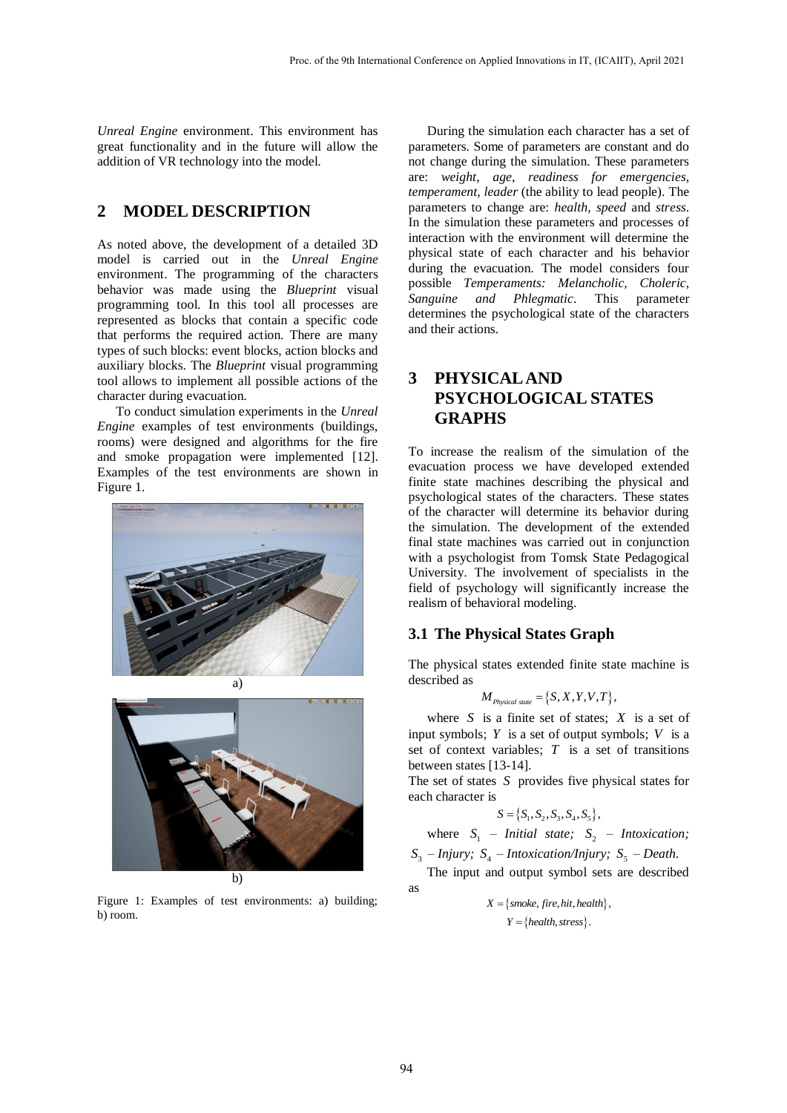*Unreal Engine* environment. This environment has great functionality and in the future will allow the addition of VR technology into the model.

## **2 MODEL DESCRIPTION**

As noted above, the development of a detailed 3D model is carried out in the *Unreal Engine* environment. The programming of the characters behavior was made using the *Blueprint* visual programming tool. In this tool all processes are represented as blocks that contain a specific code that performs the required action. There are many types of such blocks: event blocks, action blocks and auxiliary blocks. The *Blueprint* visual programming tool allows to implement all possible actions of the character during evacuation.

To conduct simulation experiments in the *Unreal Engine* examples of test environments (buildings, rooms) were designed and algorithms for the fire and smoke propagation were implemented [12]. Examples of the test environments are shown in Figure 1.





b)

Figure 1: Examples of test environments: a) building; b) room.

During the simulation each character has a set of parameters. Some of parameters are constant and do not change during the simulation. These parameters are: *weight, age, readiness for emergencies, temperament, leader* (the ability to lead people). The parameters to change are: *health*, *speed* and *stress*. In the simulation these parameters and processes of interaction with the environment will determine the physical state of each character and his behavior during the evacuation. The model considers four possible *Temperaments: Melancholic, Choleric, Sanguine and Phlegmatic*. This parameter determines the psychological state of the characters and their actions.

## **3 PHYSICAL AND PSYCHOLOGICAL STATES GRAPHS**

To increase the realism of the simulation of the evacuation process we have developed extended finite state machines describing the physical and psychological states of the characters. These states of the character will determine its behavior during the simulation. The development of the extended final state machines was carried out in conjunction with a psychologist from Tomsk State Pedagogical University. The involvement of specialists in the field of psychology will significantly increase the realism of behavioral modeling.

#### **3.1 The Physical States Graph**

The physical states extended finite state machine is described as

$$
M_{\text{Physical state}} = \{S, X, Y, V, T\},\
$$

where  $S$  is a finite set of states;  $X$  is a set of input symbols;  $Y$  is a set of output symbols;  $V$  is a set of context variables; *T* is a set of transitions between states [13-14].

The set of states *S* provides five physical states for each character is

$$
S = \{S_1, S_2, S_3, S_4, S_5\},\
$$

where  $S_1$  – *Initial state*;  $S_2$  – *Intoxication*;

 $S_3$  – Injury;  $S_4$  – Intoxication/Injury;  $S_5$  – Death. The input and output symbol sets are described

as

$$
X = \{smoke, fire, hit, health\}
$$

$$
Y = \{health, stress\}.
$$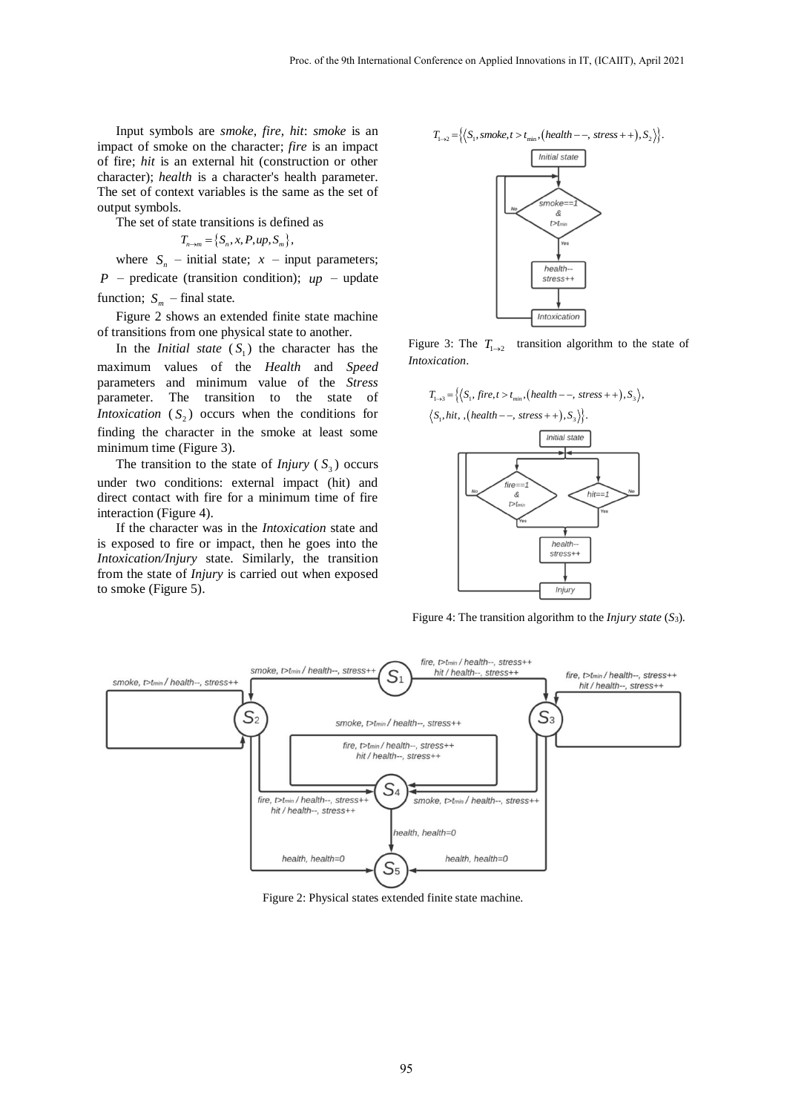Input symbols are *smoke, fire, hit*: *smoke* is an impact of smoke on the character; *fire* is an impact of fire; *hit* is an external hit (construction or other character); *health* is a character's health parameter. The set of context variables is the same as the set of output symbols.

The set of state transitions is defined as

$$
T_{n\rightarrow m} = \left\{S_n, x, P, up, S_m\right\},\
$$

where  $S_n$  – initial state;  $x$  – input parameters;  $P$  – predicate (transition condition);  $up$  – update function;  $S_m$  – final state.

Figure 2 shows an extended finite state machine of transitions from one physical state to another.

In the *Initial state*  $(S_1)$  the character has the maximum values of the *Health* and *Speed* parameters and minimum value of the *Stress* parameter. The transition to the state of *Intoxication*  $(S_2)$  occurs when the conditions for finding the character in the smoke at least some minimum time (Figure 3).

The transition to the state of *Injury*  $(S_3)$  occurs under two conditions: external impact (hit) and direct contact with fire for a minimum time of fire interaction (Figure 4).

If the character was in the *Intoxication* state and is exposed to fire or impact, then he goes into the *Intoxication/Injury* state. Similarly, the transition from the state of *Injury* is carried out when exposed to smoke (Figure 5).



Figure 3: The  $T_{1\rightarrow 2}$  transition algorithm to the state of *Intoxication*.

 $T_{1\rightarrow 3} = \left\{ \left\langle S_1, \text{fire}, t > t_{\text{min}}, \left( \text{health} - -, \text{ stress} + + \right), S_3 \right\rangle, \right\}$ 





Figure 4: The transition algorithm to the *Injury state* (*S*3).



Figure 2: Physical states extended finite state machine.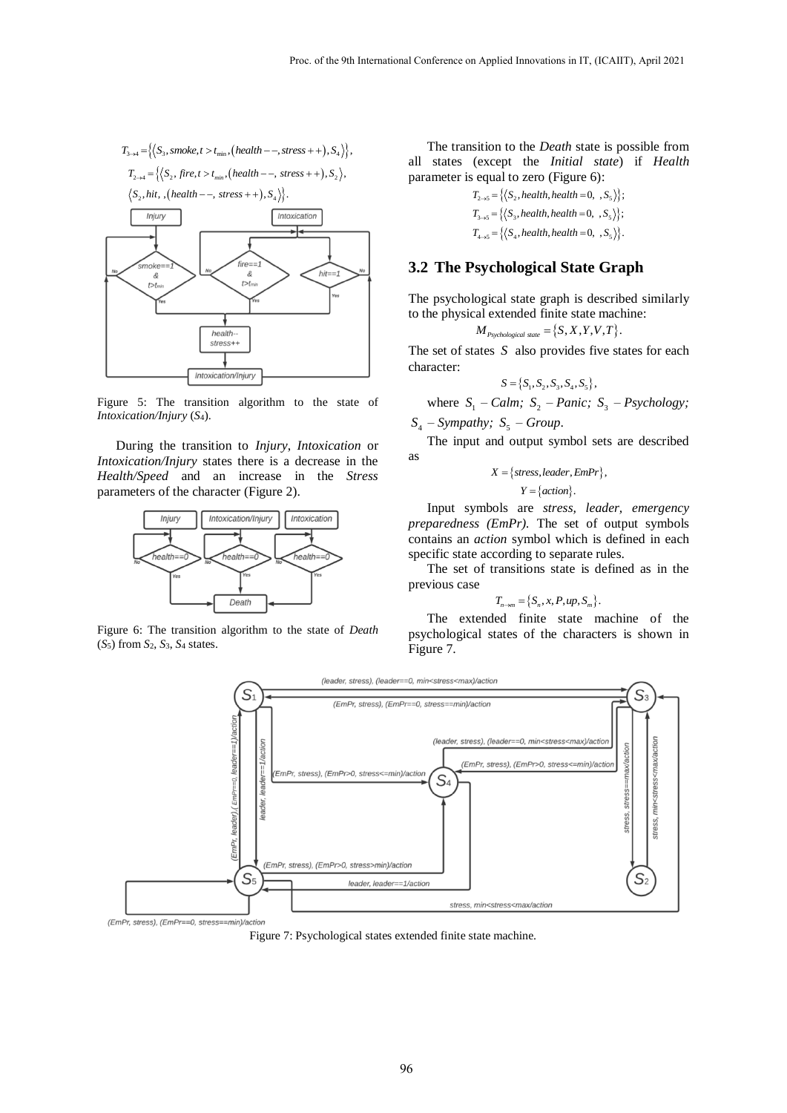

Figure 5: The transition algorithm to the state of *Intoxication/Injury* (*S*4).

During the transition to *Injury*, *Intoxication* or *Intoxication/Injury* states there is a decrease in the *Health/Speed* and an increase in the *Stress* parameters of the character (Figure 2).



Figure 6: The transition algorithm to the state of *Death* (*S*5) from *S*2, *S*3, *S*<sup>4</sup> states.

The transition to the *Death* state is possible from all states (except the *Initial state*) if *Health* parameter is equal to zero (Figure 6):

$$
T_{2\rightarrow S} = \{ \langle S_2, health, health = 0, S_S \rangle \};
$$
  
\n
$$
T_{3\rightarrow S} = \{ \langle S_3, health, health = 0, S_S \rangle \};
$$
  
\n
$$
T_{4\rightarrow S} = \{ \langle S_4, health, health = 0, S_S \rangle \}.
$$

#### **3.2 The Psychological State Graph**

The psychological state graph is described similarly to the physical extended finite state machine:<br>  $M_{Pychological\, state} = \{S, X, Y, V, T\}.$ 

$$
\boldsymbol{M}_{\scriptscriptstyle \textit{Psychological state}} = \{S, X, Y, V, T\}.
$$

The set of states  $S$  also provides five states for each character:

$$
S = \{S_1, S_2, S_3, S_4, S_5\},\
$$

where  $S_1$  – *Calm*;  $S_2$  – *Panic*;  $S_3$  – *Psychology*;

 $S_4$  – Sympathy;  $S_5$  – Group.

The input and output symbol sets are described as

$$
X = \{stress, leader, EmPr\},\
$$

$$
Y = \{action\}.
$$

Input symbols are *stress, leader, emergency preparedness (EmPr).* The set of output symbols contains an *action* symbol which is defined in each specific state according to separate rules.

The set of transitions state is defined as in the previous case

$$
T_{n\to m} = \{S_n, x, P, up, S_m\}.
$$

The extended finite state machine of the psychological states of the characters is shown in Figure 7.



Figure 7: Psychological states extended finite state machine.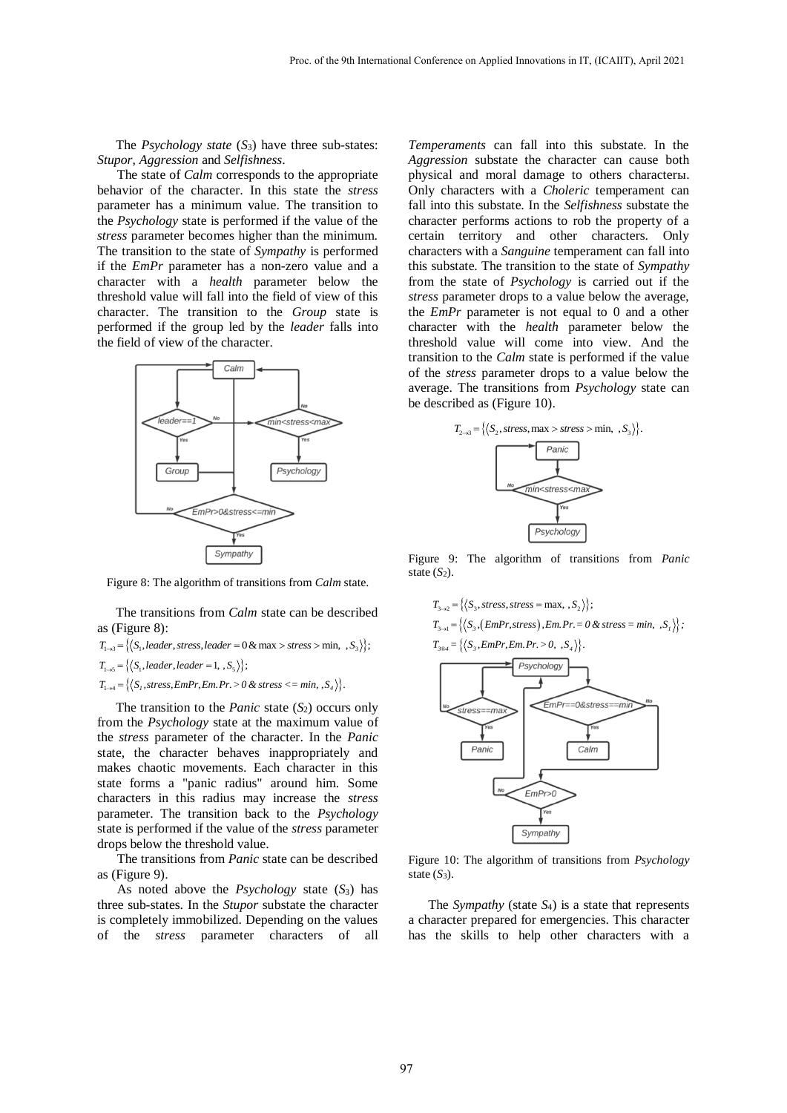The *Psychology state* (*S*3) have three sub-states: *Stupor*, *Aggression* and *Selfishness*.

The state of *Calm* corresponds to the appropriate behavior of the character. In this state the *stress* parameter has a minimum value. The transition to the *Psychology* state is performed if the value of the *stress* parameter becomes higher than the minimum. The transition to the state of *Sympathy* is performed if the *EmPr* parameter has a non-zero value and a character with a *health* parameter below the threshold value will fall into the field of view of this character. The transition to the *Group* state is performed if the group led by the *leader* falls into the field of view of the character.



Figure 8: The algorithm of transitions from *Calm* state.

The transitions from *Calm* state can be described as (Figure 8):

as (Figure 8):<br> $T_{1\rightarrow 3} = \{ \langle S_1, leader, stress, leader = 0 & \text{max} > stress > \text{min}, \, \, ,S_3 \rangle \};$ 

 $T_{1\to 3} = \{ \langle S_1, leader, strategy, leader\ -0, \]$ <br> $T_{1\to 5} = \{ \langle S_1, leader, leader = 1, S_5 \rangle \};$ 

 $T_{1\rightarrow 5} = \{\langle S_1, \text{teacher} = 1, S_5 \rangle\};$ <br> $T_{1\rightarrow 4} = \{\langle S_1, \text{stress}, \text{Em.Pr}, \text{Em.Pr.} > 0 \text{ & stress} \langle \text{5} \rangle \}.$ 

The transition to the *Panic* state (*S*<sub>2</sub>) occurs only from the *Psychology* state at the maximum value of the *stress* parameter of the character. In the *Panic* state, the character behaves inappropriately and makes chaotic movements. Each character in this state forms a "panic radius" around him. Some characters in this radius may increase the *stress* parameter. The transition back to the *Psychology* state is performed if the value of the *stress* parameter drops below the threshold value.

The transitions from *Panic* state can be described as (Figure 9).

As noted above the *Psychology* state (*S*3) has three sub-states. In the *Stupor* substate the character is completely immobilized. Depending on the values of the *stress* parameter characters of all

*Temperaments* can fall into this substate. In the *Aggression* substate the character can cause both physical and moral damage to others characterы. Only characters with a *Choleric* temperament can fall into this substate. In the *Selfishness* substate the character performs actions to rob the property of a certain territory and other characters. Only characters with a *Sanguine* temperament can fall into this substate. The transition to the state of *Sympathy* from the state of *Psychology* is carried out if the *stress* parameter drops to a value below the average, the *EmPr* parameter is not equal to 0 and a other character with the *health* parameter below the threshold value will come into view. And the transition to the *Calm* state is performed if the value of the *stress* parameter drops to a value below the average. The transitions from *Psychology* state can be described as (Figure 10).



Figure 9: The algorithm of transitions from *Panic* state  $(S_2)$ .

$$
T_{3\rightarrow 2} = \{ \langle S_3, stress, stress = \max, S_2 \rangle \};
$$
  
\n
$$
T_{3\rightarrow 1} = \{ \langle S_3, (EmPr, stress), Em, Pr = 0 \& stress = min, S_1 \rangle \};
$$

$$
T_{3\rightarrow 1} = \left\{ \left\langle S_3, \left( EmPr, stress \right), Em, Pr = 0 & \& stress = min, S_1 \right\rangle \right\};
$$



Figure 10: The algorithm of transitions from *Psychology* state  $(S_3)$ .

The *Sympathy* (state *S*4) is a state that represents a character prepared for emergencies. This character has the skills to help other characters with a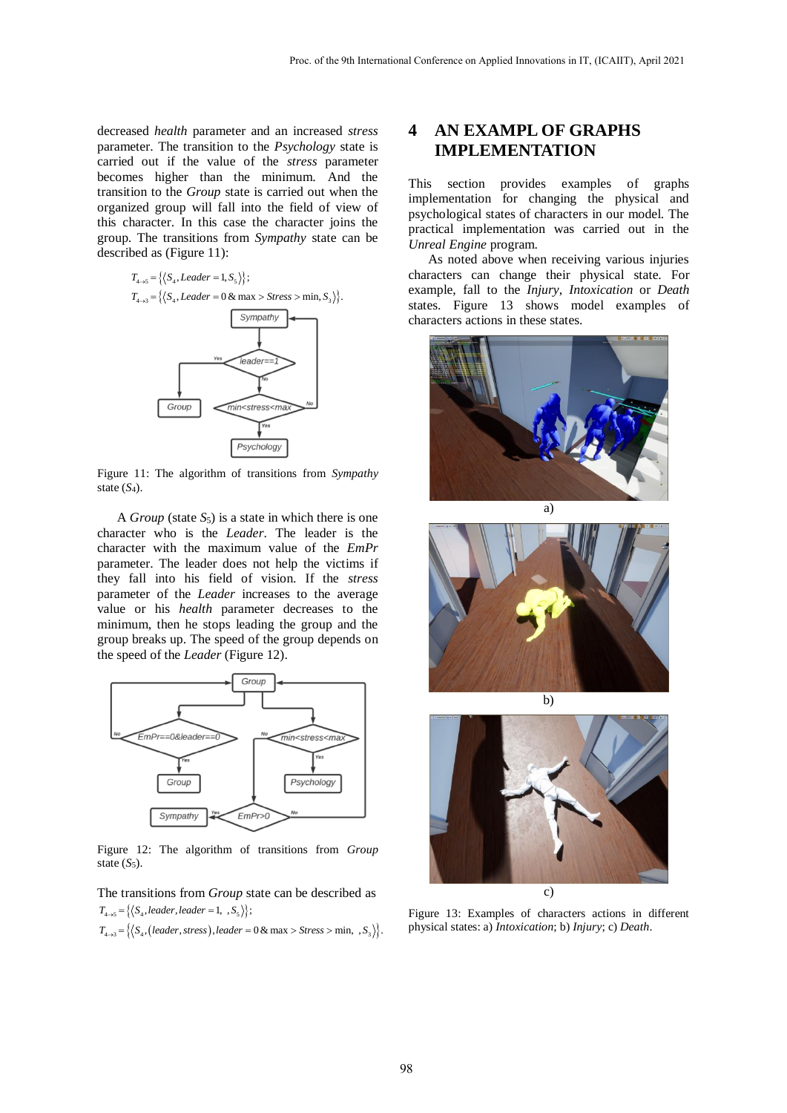decreased *health* parameter and an increased *stress* parameter. The transition to the *Psychology* state is carried out if the value of the *stress* parameter becomes higher than the minimum. And the transition to the *Group* state is carried out when the organized group will fall into the field of view of this character. In this case the character joins the group. The transitions from *Sympathy* state can be described as (Figure 11):



Figure 11: The algorithm of transitions from *Sympathy* state  $(S_4)$ .

A *Group* (state  $S_5$ ) is a state in which there is one character who is the *Leader*. The leader is the character with the maximum value of the *EmPr* parameter. The leader does not help the victims if they fall into his field of vision. If the *stress* parameter of the *Leader* increases to the average value or his *health* parameter decreases to the minimum, then he stops leading the group and the group breaks up. The speed of the group depends on the speed of the *Leader* (Figure 12).



Figure 12: The algorithm of transitions from *Group* state  $(S_5)$ .

The transitions from *Group* state can be described as The transitions from *Group* s<br>  $\Gamma_{4\rightarrow 5} = \{ \langle S_4, leader, leader = 1, S_5 \rangle \};$ The transitions from *Grou*<br> $T_{4\rightarrow 5} = \{(S_4, leader, leader = 1, .S_4)\}$ The transitions from *Group* state can be described *i*  $T_{4\rightarrow 5} = \{(S_4, leader, leader = 1, S_5)\}$ ;<br> $T_{4\rightarrow 3} = \{(S_4, (leader, stress), leader = 0 & max > Stress > min, S_5)\}$ 

$$
T_{4\rightarrow 5} = \left\{ \left\langle S_4, \text{leader}, \text{leader} = 1, S_5 \right\rangle \right\};
$$
  

$$
T_{4\rightarrow 3} = \left\{ \left\langle S_4, \text{(leader}, \text{stress}), \text{leader} = 0 \& \text{max} > \text{Stress} > \text{min}, S_3 \right\rangle \right\}.
$$

## **4 AN EXAMPL OF GRAPHS IMPLEMENTATION**

This section provides examples of graphs implementation for changing the physical and psychological states of characters in our model. The practical implementation was carried out in the *Unreal Engine* program.

As noted above when receiving various injuries characters can change their physical state. For example, fall to the *Injury*, *Intoxication* or *Death* states. Figure 13 shows model examples of characters actions in these states.







Figure 13: Examples of characters actions in different physical states: a) *Intoxication*; b) *Injury*; c) *Death*.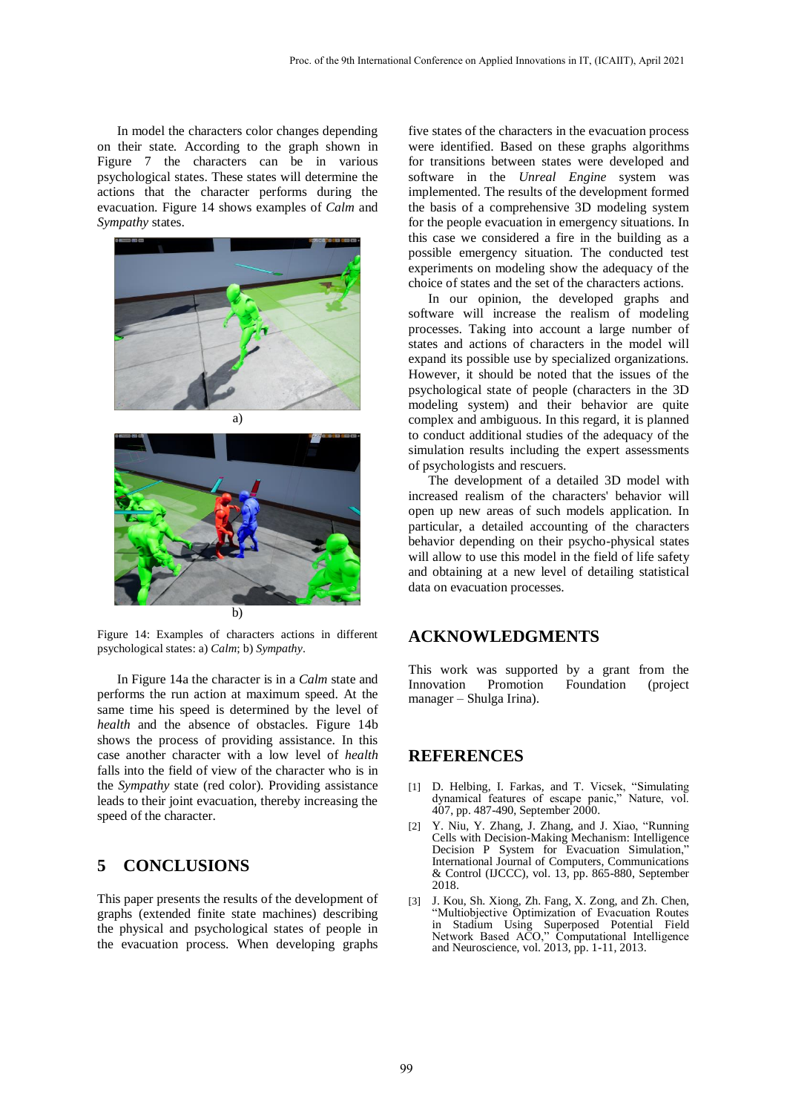In model the characters color changes depending on their state. According to the graph shown in Figure 7 the characters can be in various psychological states. These states will determine the actions that the character performs during the evacuation. Figure 14 shows examples of *Calm* and *Sympathy* states.





Figure 14: Examples of characters actions in different psychological states: a) *Calm*; b) *Sympathy*.

In Figure 14a the character is in a *Calm* state and performs the run action at maximum speed. At the same time his speed is determined by the level of *health* and the absence of obstacles. Figure 14b shows the process of providing assistance. In this case another character with a low level of *health* falls into the field of view of the character who is in the *Sympathy* state (red color). Providing assistance leads to their joint evacuation, thereby increasing the speed of the character.

### **5 CONCLUSIONS**

This paper presents the results of the development of graphs (extended finite state machines) describing the physical and psychological states of people in the evacuation process. When developing graphs

five states of the characters in the evacuation process were identified. Based on these graphs algorithms for transitions between states were developed and software in the *Unreal Engine* system was implemented. The results of the development formed the basis of a comprehensive 3D modeling system for the people evacuation in emergency situations. In this case we considered a fire in the building as a possible emergency situation. The conducted test experiments on modeling show the adequacy of the choice of states and the set of the characters actions.

In our opinion, the developed graphs and software will increase the realism of modeling processes. Taking into account a large number of states and actions of characters in the model will expand its possible use by specialized organizations. However, it should be noted that the issues of the psychological state of people (characters in the 3D modeling system) and their behavior are quite complex and ambiguous. In this regard, it is planned to conduct additional studies of the adequacy of the simulation results including the expert assessments of psychologists and rescuers.

The development of a detailed 3D model with increased realism of the characters' behavior will open up new areas of such models application. In particular, a detailed accounting of the characters behavior depending on their psycho-physical states will allow to use this model in the field of life safety and obtaining at a new level of detailing statistical data on evacuation processes.

#### **ACKNOWLEDGMENTS**

This work was supported by a grant from the Innovation Promotion Foundation (project manager – Shulga Irina).

#### **REFERENCES**

- [1] D. Helbing, I. Farkas, and T. Vicsek, "Simulating dynamical features of escape panic," Nature, vol. 407, pp. 487-490, September 2000.
- [2] Y. Niu, Y. Zhang, J. Zhang, and J. Xiao, "Running Cells with Decision-Making Mechanism: Intelligence Decision P System for Evacuation Simulation," International Journal of Computers, Communications & Control (IJCCC), vol. 13, pp. 865-880, September 2018.
- [3] J. Kou, Sh. Xiong, Zh. Fang, X. Zong, and Zh. Chen, "Multiobjective Optimization of Evacuation Routes in Stadium Using Superposed Potential Field Network Based ACO," Computational Intelligence and Neuroscience, vol. 2013, pp. 1-11, 2013.